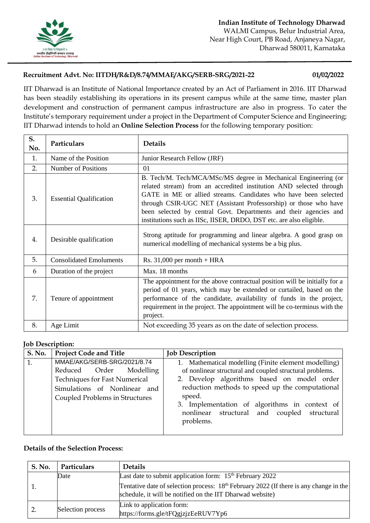

## **Recruitment Advt. No: IITDH/R&D/8.74/MMAE/AKG/SERB-SRG/2021-22 01/02/2022**

IIT Dharwad is an Institute of National Importance created by an Act of Parliament in 2016. IIT Dharwad has been steadily establishing its operations in its present campus while at the same time, master plan development and construction of permanent campus infrastructure are also in progress. To cater the Institute's temporary requirement under a project in the Department of Computer Science and Engineering; IIT Dharwad intends to hold an **Online Selection Process** for the following temporary position:

| S.<br>No. | Particulars                    | <b>Details</b>                                                                                                                                                                                                                                                                                                                                                                                                            |
|-----------|--------------------------------|---------------------------------------------------------------------------------------------------------------------------------------------------------------------------------------------------------------------------------------------------------------------------------------------------------------------------------------------------------------------------------------------------------------------------|
| 1.        | Name of the Position           | Junior Research Fellow (JRF)                                                                                                                                                                                                                                                                                                                                                                                              |
| 2.        | <b>Number of Positions</b>     | 01                                                                                                                                                                                                                                                                                                                                                                                                                        |
| 3.        | <b>Essential Qualification</b> | B. Tech/M. Tech/MCA/MSc/MS degree in Mechanical Engineering (or<br>related stream) from an accredited institution AND selected through<br>GATE in ME or allied streams. Candidates who have been selected<br>through CSIR-UGC NET (Assistant Professorship) or those who have<br>been selected by central Govt. Departments and their agencies and<br>institutions such as IISc, IISER, DRDO, DST etc. are also eligible. |
| 4.        | Desirable qualification        | Strong aptitude for programming and linear algebra. A good grasp on<br>numerical modelling of mechanical systems be a big plus.                                                                                                                                                                                                                                                                                           |
| 5.        | <b>Consolidated Emoluments</b> | Rs. $31,000$ per month + HRA                                                                                                                                                                                                                                                                                                                                                                                              |
| 6         | Duration of the project        | Max. 18 months                                                                                                                                                                                                                                                                                                                                                                                                            |
| 7.        | Tenure of appointment          | The appointment for the above contractual position will be initially for a<br>period of 01 years, which may be extended or curtailed, based on the<br>performance of the candidate, availability of funds in the project,<br>requirement in the project. The appointment will be co-terminus with the<br>project.                                                                                                         |
| 8.        | Age Limit                      | Not exceeding 35 years as on the date of selection process.                                                                                                                                                                                                                                                                                                                                                               |

## **Job Description:**

| <b>S. No.</b> | <b>Project Code and Title</b>                                                                                                                                    | <b>Job Description</b>                                                                                                                                                                                                                                                                                                                   |
|---------------|------------------------------------------------------------------------------------------------------------------------------------------------------------------|------------------------------------------------------------------------------------------------------------------------------------------------------------------------------------------------------------------------------------------------------------------------------------------------------------------------------------------|
| 1.            | MMAE/AKG/SERB-SRG/2021/8.74<br>Reduced Order Modelling<br><b>Techniques for Fast Numerical</b><br>Simulations of Nonlinear and<br>Coupled Problems in Structures | 1. Mathematical modelling (Finite element modelling)<br>of nonlinear structural and coupled structural problems.<br>2. Develop algorithms based on model order<br>reduction methods to speed up the computational<br>speed.<br>3. Implementation of algorithms in context of<br>nonlinear structural and coupled structural<br>problems. |

## **Details of the Selection Process:**

| S. No. | Particulars       | <b>Details</b>                                                                                                                                                  |
|--------|-------------------|-----------------------------------------------------------------------------------------------------------------------------------------------------------------|
|        | Date              | Last date to submit application form: $15th$ February 2022                                                                                                      |
|        |                   | Tentative date of selection process: 18 <sup>th</sup> February 2022 (If there is any change in the<br>schedule, it will be notified on the IIT Dharwad website) |
|        | Selection process | Link to application form:<br>https://forms.gle/tFQgjzjzEeRUV7Yp6                                                                                                |